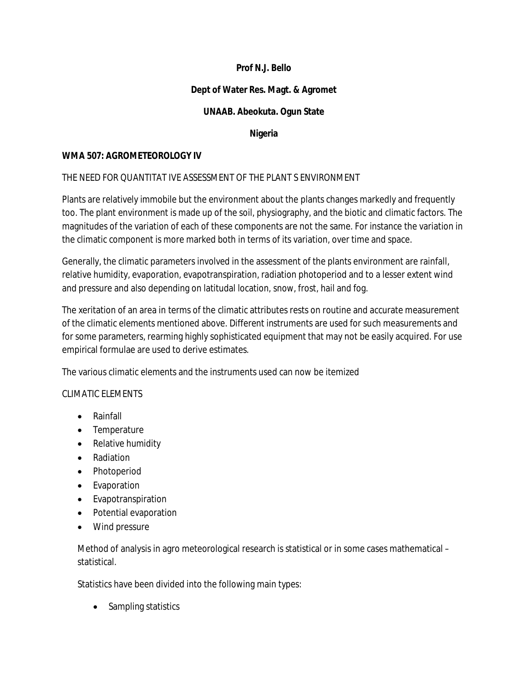# **Prof N.J. Bello**

# **Dept of Water Res. Magt. & Agromet**

# **UNAAB. Abeokuta. Ogun State**

### **Nigeria**

#### **WMA 507: AGROMETEOROLOGY IV**

### THE NEED FOR QUANTITAT IVE ASSESSMENT OF THE PLANT S ENVIRONMENT

Plants are relatively immobile but the environment about the plants changes markedly and frequently too. The plant environment is made up of the soil, physiography, and the biotic and climatic factors. The magnitudes of the variation of each of these components are not the same. For instance the variation in the climatic component is more marked both in terms of its variation, over time and space.

Generally, the climatic parameters involved in the assessment of the plants environment are rainfall, relative humidity, evaporation, evapotranspiration, radiation photoperiod and to a lesser extent wind and pressure and also depending on latitudal location, snow, frost, hail and fog.

The xeritation of an area in terms of the climatic attributes rests on routine and accurate measurement of the climatic elements mentioned above. Different instruments are used for such measurements and for some parameters, rearming highly sophisticated equipment that may not be easily acquired. For use empirical formulae are used to derive estimates.

The various climatic elements and the instruments used can now be itemized

### CLIMATIC ELEMENTS

- Rainfall
- Temperature
- Relative humidity
- Radiation
- Photoperiod
- Evaporation
- Evapotranspiration
- Potential evaporation
- Wind pressure

Method of analysis in agro meteorological research is statistical or in some cases mathematical – statistical.

Statistics have been divided into the following main types:

• Sampling statistics